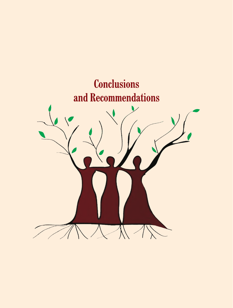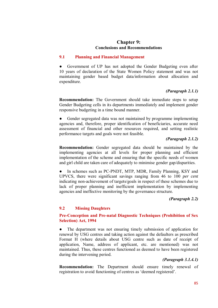# **Chapter 9: Conclusions and Recommendations**

## **9.1 Planning and Financial Management**

● Government of UP has not adopted the Gender Budgeting even after 10 years of declaration of the State Women Policy statement and was not maintaining gender based budget data/information about allocation and expenditure.

# *(Paragraph 2.1.1)*

**Recommendation:** The Government should take immediate steps to setup Gender Budgeting cells in its departments immediately and implement gender responsive budgeting in a time bound manner.

• Gender segregated data was not maintained by programme implementing agencies and, therefore, proper identification of beneficiaries, accurate need assessment of financial and other resources required, and setting realistic performance targets and goals were not feasible.

# *(Paragraph 2.1.2)*

**Recommendation:** Gender segregated data should be maintained by the implementing agencies at all levels for proper planning and efficient implementation of the scheme and ensuring that the specific needs of women and girl child are taken care of adequately to minimise gender gap/disparities.

In schemes such as PC-PNDT, MTP, MDR, Family Planning, KSY and UPVCS, there were significant savings ranging from 46 to 100 *per cent* indicating non-achievement of targets/goals in respect of these schemes due to lack of proper planning and inefficient implementation by implementing agencies and ineffective monitoring by the governance structure.

#### *(Paragraph 2.2)*

## **9.2 Missing Daughters**

# **Pre-Conception and Pre-natal Diagnostic Techniques (Prohibition of Sex Selection) Act, 1994**

• The department was not ensuring timely submission of application for renewal by USG centres and taking action against the defaulters as prescribed Format H (where details about USG centre such as date of receipt of application, Name, address of applicant, etc. are mentioned) was not maintained. Thus, these centres functioned as deemed to have been registered during the intervening period.

## *(Paragraph 3.1.4.1)*

**Recommendation:** The Department should ensure timely renewal of registration to avoid functioning of centres as 'deemed registered'.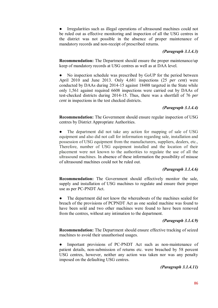Irregularities such as illegal operations of ultrasound machines could not be ruled out as effective monitoring and inspection of all the USG centres in the district was not possible in the absence of proper maintenance of mandatory records and non-receipt of prescribed returns.

## *(Paragraph 3.1.4.3)*

**Recommendation:** The Department should ensure the proper maintenance/up keep of mandatory records at USG centres as well as at DAA level.

No inspection schedule was prescribed by GoUP for the period between April 2010 and June 2013. Only 4,681 inspections (25 *per cent*) were conducted by DAAs during 2014-15 against 18488 targeted in the State while only 1,561 against required 6608 inspections were carried out by DAAs of test-checked districts during 2014-15. Thus, there was a shortfall of 76 *per cent* in inspections in the test checked districts.

#### *(Paragraph 3.1.4.4)*

**Recommendation:** The Government should ensure regular inspection of USG centres by District Appropriate Authorities.

The department did not take any action for mapping of sale of USG equipment and also did not call for information regarding sale, installation and possession of USG equipment from the manufacturers, suppliers, dealers, etc., Therefore, number of USG equipment installed and the location of their placement were not known to the authorities to regulate the use of all the ultrasound machines. In absence of these information the possibility of misuse of ultrasound machines could not be ruled out.

## *(Paragraph 3.1.4.6)*

**Recommendation:** The Government should effectively monitor the sale, supply and installation of USG machines to regulate and ensure their proper use as per PC-PNDT Act*.*

The department did not know the whereabouts of the machines sealed for breach of the provisions of PCPNDT Act as one sealed machine was found to have been sold and two other machines were found to have been removed from the centres, without any intimation to the department.

#### *(Paragraph 3.1.4.9)*

**Recommendation:** The Department should ensure effective tracking of seized machines to avoid their unauthorised usages.

Important provisions of PC-PNDT Act such as non-maintenance of patient details, non-submission of returns etc. were breached by 58 percent USG centres, however, neither any action was taken nor was any penalty imposed on the defaulting USG centres.

*(Paragraph 3.1.4.11)*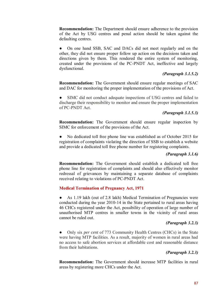**Recommendation:** The Department should ensure adherence to the provision of the Act by USG centres and penal action should be taken against the defaulting centres.

On one hand SSB, SAC and DACs did not meet regularly and on the other, they did not ensure proper follow up action on the decisions taken and directions given by them. This rendered the entire system of monitoring, created under the provisions of the PC-PNDT Act, ineffective and largely dysfunctional.

## *(Paragraph 3.1.5.2)*

**Recommendation:** The Government should ensure regular meetings of SAC and DAC for monitoring the proper implementation of the provisions of Act.

SIMC did not conduct adequate inspections of USG centres and failed to discharge their responsibility to monitor and ensure the proper implementation of PC-PNDT Act.

# *(Paragraph 3.1.5.3)*

**Recommendation:** The Government should ensure regular inspection by SIMC for enforcement of the provisions of the Act.

No dedicated toll free phone line was established as of October 2015 for registration of complaints violating the direction of SSB to establish a website and provide a dedicated toll free phone number for registering complaints.

## *(Paragraph 3.1.6)*

**Recommendation:** The Government should establish a dedicated toll free phone line for registration of complaints and should also effectively monitor redressal of grievances by maintaining a separate database of complaints received relating to violations of PC-PNDT Act.

## **Medical Termination of Pregnancy Act, 1971**

As 1.19 lakh (out of 2.8 lakh) Medical Termination of Pregnancies were conducted during the year 2010-14 in the State pertained to rural areas having 46 CHCs registered under the Act, possibility of operation of large number of unauthorised MTP centres in smaller towns in the vicinity of rural areas cannot be ruled out.

## *(Paragraph 3.2.3)*

● Only six *per cent* of 773 Community Health Centres (CHCs) in the State were having MTP facilities. As a result, majority of women in rural areas had no access to safe abortion services at affordable cost and reasonable distance from their habitations.

#### *(Paragraph 3.2.3)*

**Recommendation:** The Government should increase MTP facilities in rural areas by registering more CHCs under the Act.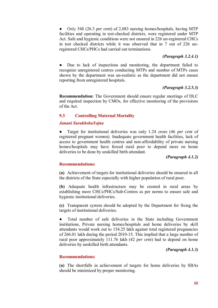● Only 548 (26.3 *per cent*) of 2,083 nursing homes/hospitals, having MTP facilities and operating in test-checked districts, were registered under MTP Act. Safe and hygienic conditions were not ensured in 226 un-registered CHCs in test checked districts while it was observed that in 7 out of 226 unregistered CHCs/PHCs had carried out terminations.

# *(Paragraph 3.2.4.1)*

● Due to lack of inspections and monitoring, the department failed to recognize unregistered centres conducting MTPs and number of MTPs cases shown by the department was un-realistic as the department did not ensure reporting from unregistered hospitals.

# *(Paragraph 3.2.5.3)*

**Recommendation:** The Government should ensure regular meetings of DLC and required inspection by CMOs, for effective monitoring of the provisions of the Act.

# **9.3 Controlling Maternal Mortality**

#### *Janani SurakhshaYojna*

Target for institutional deliveries was only 1.24 crore (46 *per cent* of registered pregnant women). Inadequate government health facilities, lack of access to government health centres and non-affordability of private nursing homes/hospitals may have forced rural poor to depend more on home deliveries to be done by unskilled birth attendant.

#### *(Paragraph 4.1.2)*

## **Recommendations:**

**(a)** Achievement of targets for institutional deliveries should be ensured in all the districts of the State especially with higher population of rural poor.

**(b)** Adequate health infrastructure may be created in rural areas by establishing more CHCs/PHCs/Sub-Centres as per norms to ensure safe and hygienic institutional deliveries.

**(c)** Transparent system should be adopted by the Department for fixing the targets of institutional deliveries.

● Total number of safe deliveries in the State including Government institutions, Private nursing homes/hospitals and home deliveries by skill attendants would work out to 154.25 lakh against total registered pregnancies of 266.01 lakh during the period 2010-15. This implied that a large number of rural poor approximately 111.76 lakh (42 *per cent*) had to depend on home deliveries by unskilled birth attendants.

## *(Paragraph 4.1.3)*

#### **Recommendations:**

**(a)** The shortfalls in achievement of targets for home deliveries by SBAs should be minimized by proper monitoring.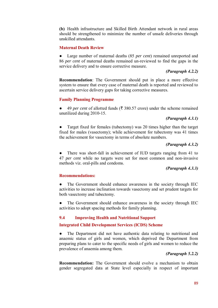**(b)** Health infrastructure and Skilled Birth Attendant network in rural areas should be strengthened to minimize the number of unsafe deliveries through unskilled attendants.

#### **Maternal Death Review**

● Large number of maternal deaths (85 *per cent*) remained unreported and 86 *per cent* of maternal deaths remained un-reviewed to find the gaps in the service delivery and to ensure corrective measure.

#### *(Paragraph 4.2.2)*

**Recommendation**: The Government should put in place a more effective system to ensure that every case of maternal death is reported and reviewed to ascertain service delivery gaps for taking corrective measures.

#### **Family Planning Programme**

49 *per cent* of allotted funds ( $\overline{\xi}$  380.57 crore) under the scheme remained unutilized during 2010-15.

# *(Paragraph 4.3.1)*

• Target fixed for females (tubectomy) was 20 times higher than the target fixed for males (vasectomy); while achievement for tubectomy was 41 times the achievement for vasectomy in terms of absolute numbers.

#### *(Paragraph 4.3.2)*

There was short-fall in achievement of IUD targets ranging from 41 to 47 *per cent* while no targets were set for most common and non-invasive methods viz. oral-pills and condoms.

## *(Paragraph 4.3.3)*

#### **Recommendations:**

• The Government should enhance awareness in the society through IEC activities to increase inclination towards vasectomy and set prudent targets for both vasectomy and tubectomy.

The Government should enhance awareness in the society through IEC activities to adopt spacing methods for family planning.

#### **9.4 Improving Health and Nutritional Support**

#### **Integrated Child Development Services (ICDS) Scheme**

● The Department did not have authentic data relating to nutritional and anaemic status of girls and women, which deprived the Department from preparing plans to cater to the specific needs of girls and women to reduce the prevalence of anaemia among them.

#### *(Paragraph 5.2.2)*

**Recommendation:** The Government should evolve a mechanism to obtain gender segregated data at State level especially in respect of important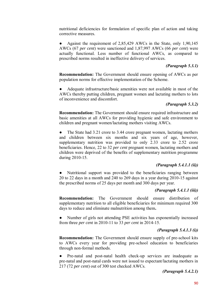nutritional deficiencies for formulation of specific plan of action and taking corrective measures.

Against the requirement of 2,85,429 AWCs in the State, only 1,90,145 AWCs (67 *per cent*) were sanctioned and 1,87,997 AWCs (66 *per cent*) were actually functional. Less number of functional AWCs, as compared to prescribed norms resulted in ineffective delivery of services.

## *(Paragraph 5.3.1)*

**Recommendation:** The Government should ensure opening of AWCs as per population norms for effective implementation of the Scheme.

Adequate infrastructure/basic amenities were not available in most of the AWCs thereby putting children, pregnant women and lactating mothers to lots of inconvenience and discomfort.

## *(Paragraph 5.3.2)*

**Recommendation:** The Government should ensure required infrastructure and basic amenities at all AWCs for providing hygienic and safe environment to children and pregnant women/lactating mothers visiting AWCs.

The State had 3.21 crore to 3.44 crore pregnant women, lactating mothers and children between six months and six years of age, however, supplementary nutrition was provided to only 2.33 crore to 2.52 crore beneficiaries. Hence, 22 to 32 *per cent* pregnant women, lactating mothers and children were deprived of the benefits of supplementary nutrition programme during 2010-15.

## *(Paragraph 5.4.1.1 (ii))*

Nutritional support was provided to the beneficiaries ranging between 20 to 22 days in a month and 240 to 269 days in a year during 2010-15 against the prescribed norms of 25 days per month and 300 days per year.

# *(Paragraph 5.4.1.1 (iii))*

**Recommendation:** The Government should ensure distribution of supplementary nutrition to all eligible beneficiaries for minimum required 300 days to reduce and eliminate malnutrition among them**.**

Number of girls not attending PSE activities has exponentially increased from three *per cent* in 2010-11 to 33 *per cent* in 2014-15.

## *(Paragraph 5.4.1.3 (i))*

**Recommendation:** The Government should ensure supply of pre-school kits to AWCs every year for providing pre-school education to beneficiaries through non-formal methods.

Pre-natal and post-natal health check-up services are inadequate as pre-natal and post-natal cards were not issued to expectant/lactating mothers in 217 (72 *per cent*) out of 300 test checked AWCs.

*(Paragraph 5.4.2.1)*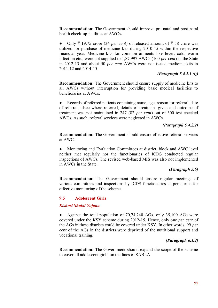**Recommendation:** The Government should improve pre-natal and post-natal health check-up facilities at AWCs**.**

• Only  $\bar{\tau}$  19.75 crore (34 *per cent*) of released amount of  $\bar{\tau}$  58 crore was utilized for purchase of medicine kits during 2010-15 within the respective financial year. Medicine kits for common ailments like fever, cold, worm infection etc., were not supplied to 1,87,997 AWCs (100 *per cent*) in the State in 2012-13 and about 50 *per cent* AWCs were not issued medicine kits in 2011-12 and 2014-15.

#### *(Paragraph 5.4.2.1 (i))*

**Recommendation:** The Government should ensure supply of medicine kits to all AWCs without interruption for providing basic medical facilities to beneficiaries at AWCs.

Records of referred patients containing name, age, reason for referral, date of referral, place where referred, details of treatment given and outcome of treatment was not maintained in 247 (82 *per cent*) out of 300 test checked AWCs. As such, referral services were neglected in AWCs.

#### *(Paragraph 5.4.2.2)*

**Recommendation:** The Government should ensure effective referral services at AWCs.

Monitoring and Evaluation Committees at district, block and AWC level neither met regularly nor the functionaries of ICDS conducted regular inspections of AWCs. The revised web-based MIS was also not implemented in AWCs in the State.

#### *(Paragraph 5.6)*

**Recommendation:** The Government should ensure regular meetings of various committees and inspections by ICDS functionaries as per norms for effective monitoring of the scheme.

#### **9.5 Adolescent Girls**

#### *Kishori Shakti Yojana*

● Against the total population of 70,74,240 AGs, only 35,100 AGs were covered under the KSY scheme during 2012-15. Hence, only one *per cent* of the AGs in these districts could be covered under KSY. In other words, 99 *per cent* of the AGs in the districts were deprived of the nutritional support and vocational training.

## *(Paragraph 6.1.2)*

**Recommendation:** The Government should expand the scope of the scheme to cover all adolescent girls, on the lines of SABLA.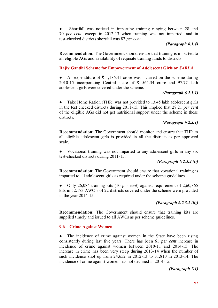Shortfall was noticed in imparting training ranging between 28 and 70 *per cent*, except in 2012-13 when training was not imparted, and in test-checked districts shortfall was 87 *per cent*.

## *(Paragraph 6.1.4)*

**Recommendation:** The Government should ensure that training is imparted to all eligible AGs and availability of requisite training funds to districts.

# **Rajiv Gandhi Scheme for Empowerment of Adolescent Girls or** *SABLA*

An expenditure of  $\bar{\tau}$  1,186.41 crore was incurred on the scheme during 2010-15 incorporating Central share of  $\bar{\tau}$  564.34 crore and 97.77 lakh adolescent girls were covered under the scheme.

## *(Paragraph 6.2.1.1)*

• Take Home Ration (THR) was not provided to 13.45 lakh adolescent girls in the test checked districts during 2011-15. This implied that 28.21 *per cent* of the eligible AGs did not get nutritional support under the scheme in these districts.

## *(Paragraph 6.2.3.1)*

**Recommendation:** The Government should monitor and ensure that THR to all eligible adolescent girls is provided in all the districts as per approved scale.

Vocational training was not imparted to any adolescent girls in any six test-checked districts during 2011-15.

## *(Paragraph 6.2.3.2 (i))*

**Recommendation:** The Government should ensure that vocational training is imparted to all adolescent girls as required under the scheme guidelines.

● Only 26,084 training kits (10 *per cent*) against requirement of 2,60,865 kits in 52,173 AWC's of 22 districts covered under the scheme were provided in the year 2014-15.

# *(Paragraph 6.2.3.2 (ii))*

**Recommendation:** The Government should ensure that training kits are supplied timely and issued to all AWCs as per scheme guidelines.

#### **9.6 Crime Against Women**

The incidence of crime against women in the State have been rising consistently during last five years. There has been 61 *per cent* increase in incidence of crime against women between 2010-11 and 2014-15. The increase in crime has been very steep during 2013-14 when the number of such incidence shot up from 24,652 in 2012-13 to 31,810 in 2013-14. The incidence of crime against women has not declined in 2014-15.

*(Paragraph 7.1)*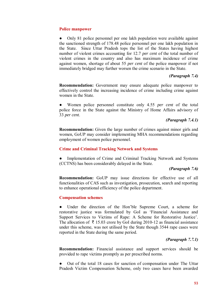#### **Police manpower**

Only 81 police personnel per one lakh population were available against the sanctioned strength of 178.48 police personnel per one lakh population in the State. Since Uttar Pradesh tops the list of the States having highest number of violent crimes accounting for 12.7 *per cent* of the total number of violent crimes in the country and also has maximum incidence of crime against women, shortage of about 55 *per cent* of the police manpower if not immediately bridged may further worsen the crime scenario in the State.

#### *(Paragraph 7.4)*

**Recommendation:** Government may ensure adequate police manpower to effectively control the increasing incidence of crime including crime against women in the State.

Women police personnel constitute only 4.55 *per cent* of the total police force in the State against the Ministry of Home Affairs advisory of 33 *per cent*.

## *(Paragraph 7.4.1)*

**Recommendation:** Given the large number of crimes against minor girls and women, GoUP may consider implementing MHA recommendations regarding employment of women police personnel.

#### **Crime and Criminal Tracking Network and Systems**

Implementation of Crime and Criminal Tracking Network and Systems (CCTNS) has been considerably delayed in the State.

# *(Paragraph 7.6)*

**Recommendation:** GoUP may issue directions for effective use of all functionalities of CAS such as investigation, prosecution, search and reporting to enhance operational efficiency of the police department.

#### **Compensation schemes**

● Under the direction of the Hon'ble Supreme Court, a scheme for restorative justice was formulated by GoI as 'Financial Assistance and Support Services to Victims of Rape: A Scheme for Restorative Justice'. The allocation of  $\bar{\tau}$  15.03 crore by GoI during 2010-12 as financial assistance under this scheme, was not utilised by the State though 3544 rape cases were reported in the State during the same period.

# *(Paragraph 7.7.1)*

**Recommendation:** Financial assistance and support services should be provided to rape victims promptly as per prescribed norms.

• Out of the total 18 cases for sanction of compensation under The Uttar Pradesh Victim Compensation Scheme, only two cases have been awarded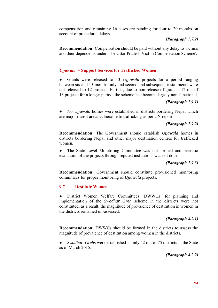compensation and remaining 16 cases are pending for four to 20 months on account of procedural delays.

## *(Paragraph 7.7.2)*

**Recommendation:** Compensation should be paid without any delay to victims and their dependents under 'The Uttar Pradesh Victim Compensation Scheme'.

# *Ujjawala* **– Support Services for Trafficked Women**

Grants were released to 13 *Ujjawala* projects for a period ranging between six and 15 months only and second and subsequent installments were not released to 12 projects. Further, due to non-release of grant in 12 out of 13 projects for a longer period, the scheme had become largely non-functional.

#### *(Paragraph 7.9.1)*

● No *Ujjawala* homes were established in districts bordering Nepal which are major transit areas vulnerable to trafficking as per UN report.

## *(Paragraph 7.9.2)*

**Recommendation:** The Government should establish *Ujjawala* homes in districts bordering Nepal and other major destination centres for trafficked women.

• The State Level Monitoring Committee was not formed and periodic evaluation of the projects through reputed institutions was not done.

## *(Paragraph 7.9.3)*

**Recommendation:** Government should constitute provisioned monitoring committees for proper monitoring of *Ujjawala* projects.

## **9.7 Destitute Women**

● District Women Welfare Committees (DWWCs) for planning and implementation of the *Swadhar Greh* scheme in the districts were not constituted, as a result, the magnitude of prevalence of destitution in women in the districts remained un-assessed.

## *(Paragraph 8.2.1)*

**Recommendation:** DWWCs should be formed in the districts to assess the magnitude of prevalence of destitution among women in the districts.

*Swadhar Grehs* were established in only 42 out of 75 districts in the State as of March 2015.

 *(Paragraph 8.2.2)*